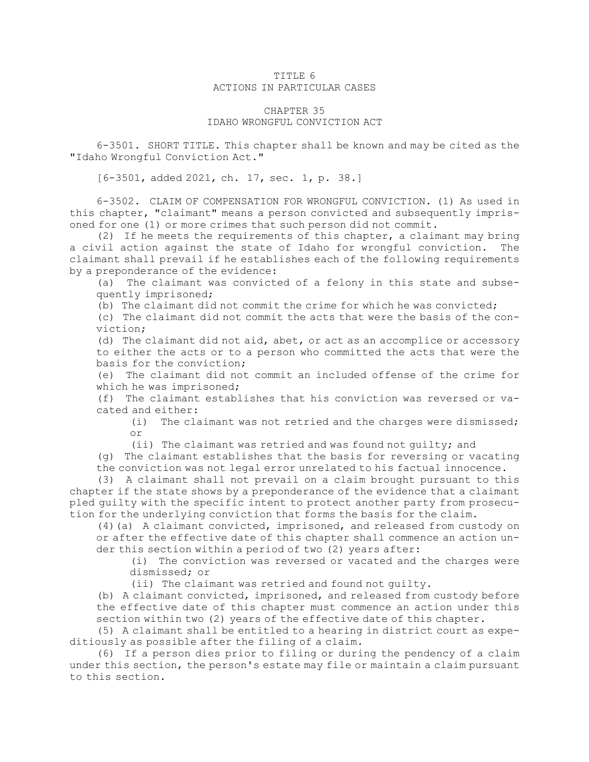## TITLE 6 ACTIONS IN PARTICULAR CASES

## CHAPTER 35 IDAHO WRONGFUL CONVICTION ACT

6-3501. SHORT TITLE. This chapter shall be known and may be cited as the "Idaho Wrongful Conviction Act."

[6-3501, added 2021, ch. 17, sec. 1, p. 38.]

6-3502. CLAIM OF COMPENSATION FOR WRONGFUL CONVICTION. (1) As used in this chapter, "claimant" means <sup>a</sup> person convicted and subsequently imprisoned for one (1) or more crimes that such person did not commit.

(2) If he meets the requirements of this chapter, <sup>a</sup> claimant may bring <sup>a</sup> civil action against the state of Idaho for wrongful conviction. The claimant shall prevail if he establishes each of the following requirements by <sup>a</sup> preponderance of the evidence:

(a) The claimant was convicted of <sup>a</sup> felony in this state and subsequently imprisoned;

(b) The claimant did not commit the crime for which he was convicted;

(c) The claimant did not commit the acts that were the basis of the conviction;

(d) The claimant did not aid, abet, or act as an accomplice or accessory to either the acts or to <sup>a</sup> person who committed the acts that were the basis for the conviction;

(e) The claimant did not commit an included offense of the crime for which he was imprisoned;

(f) The claimant establishes that his conviction was reversed or vacated and either:

(i) The claimant was not retried and the charges were dismissed; or

(ii) The claimant was retried and was found not guilty; and

(g) The claimant establishes that the basis for reversing or vacating the conviction was not legal error unrelated to his factual innocence.

(3) <sup>A</sup> claimant shall not prevail on <sup>a</sup> claim brought pursuant to this chapter if the state shows by <sup>a</sup> preponderance of the evidence that <sup>a</sup> claimant pled guilty with the specific intent to protect another party from prosecution for the underlying conviction that forms the basis for the claim.

(4)(a) <sup>A</sup> claimant convicted, imprisoned, and released from custody on or after the effective date of this chapter shall commence an action under this section within <sup>a</sup> period of two (2) years after:

(i) The conviction was reversed or vacated and the charges were dismissed; or

(ii) The claimant was retried and found not guilty.

(b) <sup>A</sup> claimant convicted, imprisoned, and released from custody before the effective date of this chapter must commence an action under this section within two (2) years of the effective date of this chapter.

(5) <sup>A</sup> claimant shall be entitled to <sup>a</sup> hearing in district court as expeditiously as possible after the filing of <sup>a</sup> claim.

(6) If <sup>a</sup> person dies prior to filing or during the pendency of <sup>a</sup> claim under this section, the person's estate may file or maintain <sup>a</sup> claim pursuant to this section.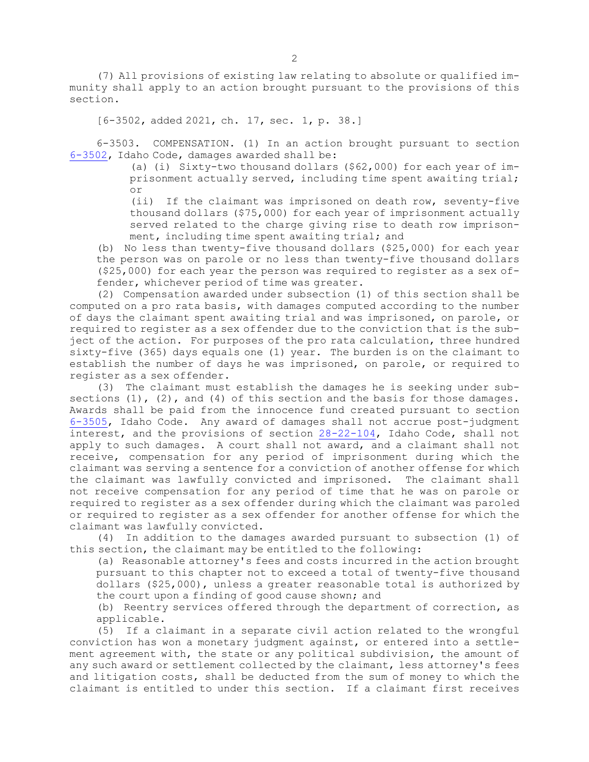(7) All provisions of existing law relating to absolute or qualified immunity shall apply to an action brought pursuant to the provisions of this section.

[6-3502, added 2021, ch. 17, sec. 1, p. 38.]

6-3503. COMPENSATION. (1) In an action brought pursuant to section [6-3502](https://legislature.idaho.gov/statutesrules/idstat/Title6/T6CH35/SECT6-3502), Idaho Code, damages awarded shall be:

> (a) (i) Sixty-two thousand dollars  $($  \$62,000) for each year of imprisonment actually served, including time spent awaiting trial; or

> (ii) If the claimant was imprisoned on death row, seventy-five thousand dollars (\$75,000) for each year of imprisonment actually served related to the charge giving rise to death row imprisonment, including time spent awaiting trial; and

(b) No less than twenty-five thousand dollars (\$25,000) for each year the person was on parole or no less than twenty-five thousand dollars (\$25,000) for each year the person was required to register as <sup>a</sup> sex offender, whichever period of time was greater.

(2) Compensation awarded under subsection (1) of this section shall be computed on <sup>a</sup> pro rata basis, with damages computed according to the number of days the claimant spent awaiting trial and was imprisoned, on parole, or required to register as <sup>a</sup> sex offender due to the conviction that is the subject of the action. For purposes of the pro rata calculation, three hundred sixty-five (365) days equals one (1) year. The burden is on the claimant to establish the number of days he was imprisoned, on parole, or required to register as <sup>a</sup> sex offender.

(3) The claimant must establish the damages he is seeking under subsections  $(1)$ ,  $(2)$ , and  $(4)$  of this section and the basis for those damages. Awards shall be paid from the innocence fund created pursuant to section [6-3505](https://legislature.idaho.gov/statutesrules/idstat/Title6/T6CH35/SECT6-3505), Idaho Code. Any award of damages shall not accrue post-judgment interest, and the provisions of section [28-22-104](https://legislature.idaho.gov/statutesrules/idstat/Title28/T28CH22/SECT28-22-104), Idaho Code, shall not apply to such damages. <sup>A</sup> court shall not award, and <sup>a</sup> claimant shall not receive, compensation for any period of imprisonment during which the claimant was serving <sup>a</sup> sentence for <sup>a</sup> conviction of another offense for which the claimant was lawfully convicted and imprisoned. The claimant shall not receive compensation for any period of time that he was on parole or required to register as <sup>a</sup> sex offender during which the claimant was paroled or required to register as <sup>a</sup> sex offender for another offense for which the claimant was lawfully convicted.

(4) In addition to the damages awarded pursuant to subsection (1) of this section, the claimant may be entitled to the following:

(a) Reasonable attorney's fees and costs incurred in the action brought pursuant to this chapter not to exceed <sup>a</sup> total of twenty-five thousand dollars (\$25,000), unless <sup>a</sup> greater reasonable total is authorized by the court upon <sup>a</sup> finding of good cause shown; and

(b) Reentry services offered through the department of correction, as applicable.

(5) If <sup>a</sup> claimant in <sup>a</sup> separate civil action related to the wrongful conviction has won <sup>a</sup> monetary judgment against, or entered into <sup>a</sup> settlement agreement with, the state or any political subdivision, the amount of any such award or settlement collected by the claimant, less attorney's fees and litigation costs, shall be deducted from the sum of money to which the claimant is entitled to under this section. If <sup>a</sup> claimant first receives